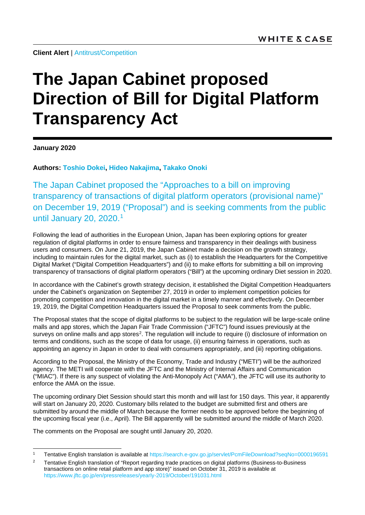**Client Alert** | [Antitrust/Competition](https://www.whitecase.com/law/practices/antitrust-competition)

## **The Japan Cabinet proposed Direction of Bill for Digital Platform Transparency Act**

**January 2020**

**Authors: [Toshio Dokei,](https://www.whitecase.com/people/toshio-dokei) [Hideo Nakajima,](https://www.whitecase.com/people/hideo-nakajima) [Takako Onoki](https://www.whitecase.com/people/takako-onoki)**

The Japan Cabinet proposed the "Approaches to a bill on improving transparency of transactions of digital platform operators (provisional name)" on December 19, 2019 ("Proposal") and is seeking comments from the public until January 20, 2020. [1](#page-0-0)

Following the lead of authorities in the European Union, Japan has been exploring options for greater regulation of digital platforms in order to ensure fairness and transparency in their dealings with business users and consumers. On June 21, 2019, the Japan Cabinet made a decision on the growth strategy, including to maintain rules for the digital market, such as (i) to establish the Headquarters for the Competitive Digital Market ("Digital Competition Headquarters") and (ii) to make efforts for submitting a bill on improving transparency of transactions of digital platform operators ("Bill") at the upcoming ordinary Diet session in 2020.

In accordance with the Cabinet's growth strategy decision, it established the Digital Competition Headquarters under the Cabinet's organization on September 27, 2019 in order to implement competition policies for promoting competition and innovation in the digital market in a timely manner and effectively. On December 19, 2019, the Digital Competition Headquarters issued the Proposal to seek comments from the public.

The Proposal states that the scope of digital platforms to be subject to the regulation will be large-scale online malls and app stores, which the Japan Fair Trade Commission ("JFTC") found issues previously at the surveys on online malls and app stores<sup>2</sup>. The regulation will include to require (i) disclosure of information on terms and conditions, such as the scope of data for usage, (ii) ensuring fairness in operations, such as appointing an agency in Japan in order to deal with consumers appropriately, and (iii) reporting obligations.

According to the Proposal, the Ministry of the Economy, Trade and Industry ("METI") will be the authorized agency. The METI will cooperate with the JFTC and the Ministry of Internal Affairs and Communication ("MIAC"). If there is any suspect of violating the Anti-Monopoly Act ("AMA"), the JFTC will use its authority to enforce the AMA on the issue.

The upcoming ordinary Diet Session should start this month and will last for 150 days. This year, it apparently will start on January 20, 2020. Customary bills related to the budget are submitted first and others are submitted by around the middle of March because the former needs to be approved before the beginning of the upcoming fiscal year (i.e., April). The Bill apparently will be submitted around the middle of March 2020.

The comments on the Proposal are sought until January 20, 2020.

 <sup>1</sup> Tentative English translation is available at<https://search.e-gov.go.jp/servlet/PcmFileDownload?seqNo=0000196591>

<span id="page-0-1"></span><span id="page-0-0"></span><sup>&</sup>lt;sup>2</sup> Tentative English translation of "Report regarding trade practices on digital platforms (Business-to-Business transactions on online retail platform and app store)" issued on October 31, 2019 is available at <https://www.jftc.go.jp/en/pressreleases/yearly-2019/October/191031.html>